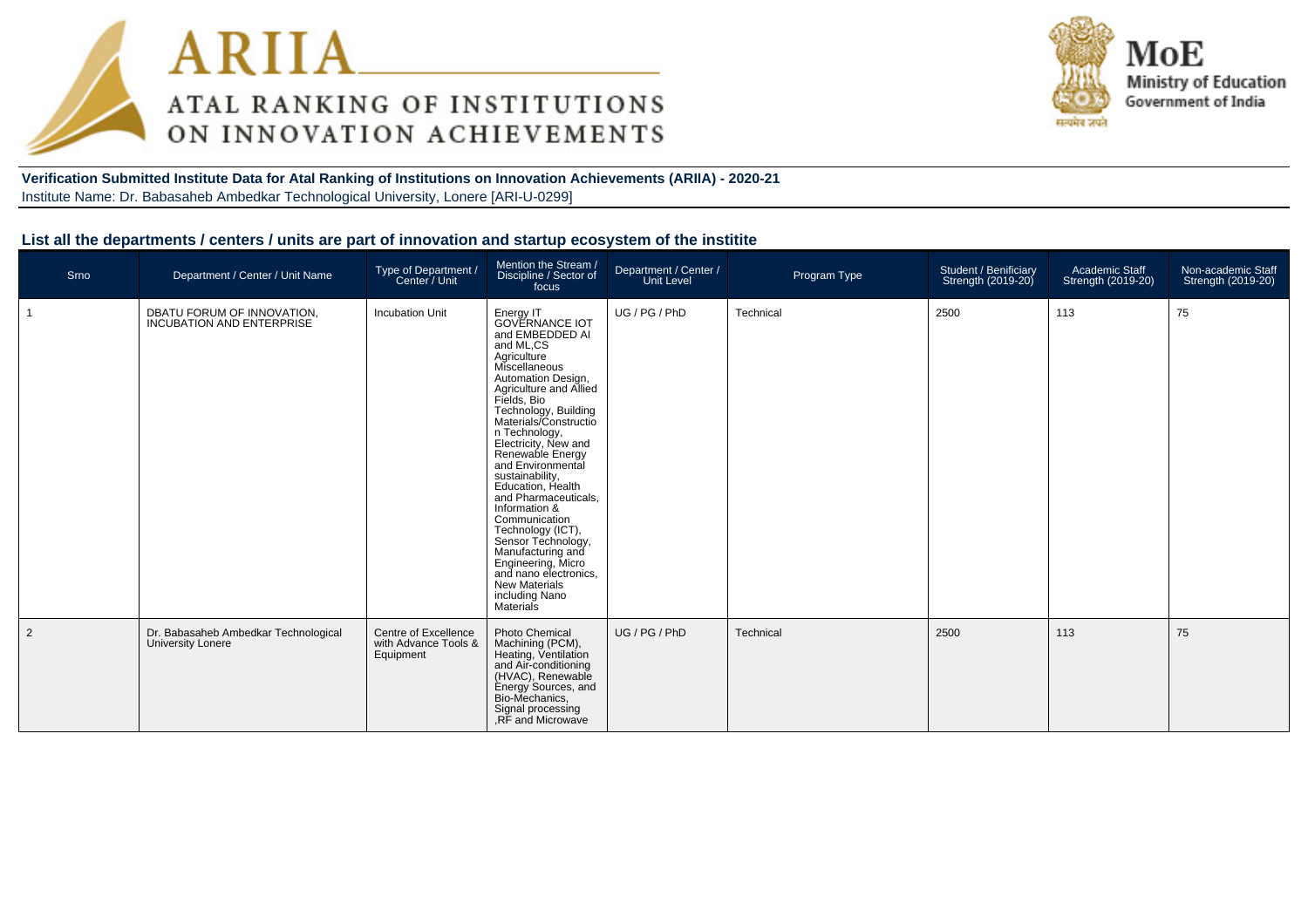



#### **Verification Submitted Institute Data for Atal Ranking of Institutions on Innovation Achievements (ARIIA) - 2020-21**Institute Name: Dr. Babasaheb Ambedkar Technological University, Lonere [ARI-U-0299]

#### **List all the departments / centers / units are part of innovation and startup ecosystem of the institite**

| Srno           | Department / Center / Unit Name                                  | Type of Department /<br>Center / Unit                     | Mention the Stream /<br>Discipline / Sector of<br>focus                                                                                                                                                                                                                                                                                                                                                                                                                                                                                                                      | Department / Center /<br>Unit Level | Program Type | Student / Benificiary<br>Strength (2019-20) | Academic Staff<br>Strength (2019-20) | Non-academic Staff<br>Strength (2019-20) |
|----------------|------------------------------------------------------------------|-----------------------------------------------------------|------------------------------------------------------------------------------------------------------------------------------------------------------------------------------------------------------------------------------------------------------------------------------------------------------------------------------------------------------------------------------------------------------------------------------------------------------------------------------------------------------------------------------------------------------------------------------|-------------------------------------|--------------|---------------------------------------------|--------------------------------------|------------------------------------------|
|                | DBATU FORUM OF INNOVATION.<br>INCUBATION AND ENTERPRISE          | <b>Incubation Unit</b>                                    | Energy IT<br><b>GOVERNANCE IOT</b><br>and EMBEDDED AI<br>and ML,CS<br>Agriculture<br>Miscellaneous<br>Automation Design,<br>Agriculture and Allied<br>Fields, Bio<br>Technology, Building<br>Materials/Constructio<br>n Technology,<br>Electricity, New and<br>Renewable Energy<br>and Environmental<br>sustainability,<br>Education, Health<br>and Pharmaceuticals,<br>Information &<br>Communication<br>Technology (ICT),<br>Sensor Technology,<br>Manufacturing and<br>Engineering, Micro<br>and nano electronics,<br><b>New Materials</b><br>including Nano<br>Materials | UG / PG / PhD                       | Technical    | 2500                                        | 113                                  | 75                                       |
| $\overline{2}$ | Dr. Babasaheb Ambedkar Technological<br><b>University Lonere</b> | Centre of Excellence<br>with Advance Tools &<br>Equipment | <b>Photo Chemical</b><br>Machining (PCM),<br>Heating, Ventilation<br>and Air-conditioning<br>(HVAC), Renewable<br>Energy Sources, and<br>Bio-Mechanics,<br>Signal processing<br>.RF and Microwave                                                                                                                                                                                                                                                                                                                                                                            | UG / PG / PhD                       | Technical    | 2500                                        | 113                                  | 75                                       |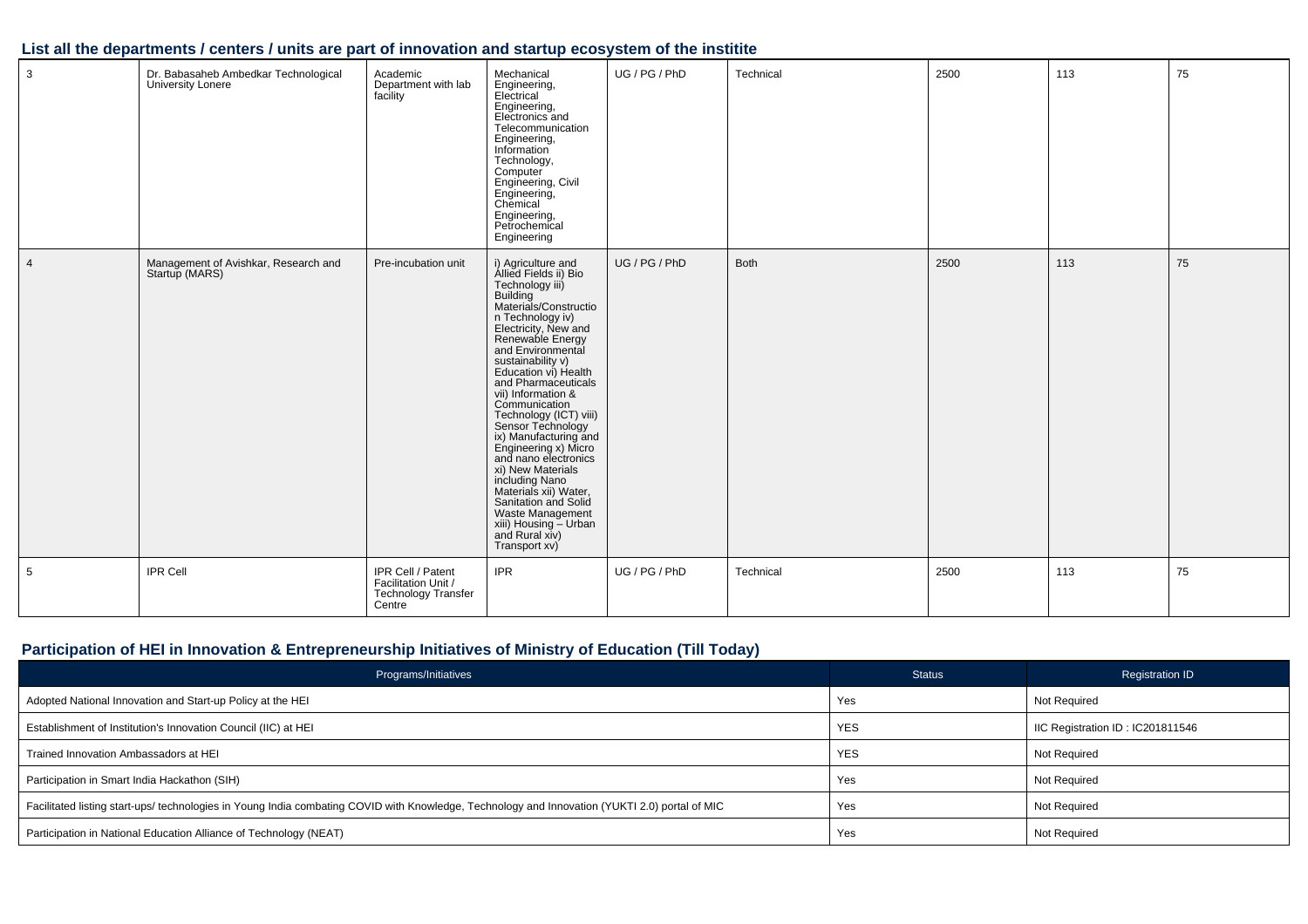| $\mathbf{3}$   | Dr. Babasaheb Ambedkar Technological<br>University Lonere | Academic<br>Department with lab<br>facility                                      | Mechanical<br>Engineering,<br>Electrical<br>Engineering,<br>Electronics and<br>Telecommunication<br>Engineering,<br>Information<br>Technology,<br>Computer<br>Engineering, Civil<br>Engineering,<br>Chemical<br>Engineering,<br>Petrochemical<br>Engineering                                                                                                                                                                                                                                                                                                                                        | UG / PG / PhD | Technical | 2500 | 113 | 75 |
|----------------|-----------------------------------------------------------|----------------------------------------------------------------------------------|-----------------------------------------------------------------------------------------------------------------------------------------------------------------------------------------------------------------------------------------------------------------------------------------------------------------------------------------------------------------------------------------------------------------------------------------------------------------------------------------------------------------------------------------------------------------------------------------------------|---------------|-----------|------|-----|----|
| $\overline{4}$ | Management of Avishkar, Research and<br>Startup (MARS)    | Pre-incubation unit                                                              | i) Agriculture and<br>Allied Fields ii) Bio<br>Technology iii)<br>Building<br>Materials/Constructio<br>n Technology iv)<br>Electricity, New and<br>Renewable Energy<br>and Environmental<br>sustainability v)<br>Education vi) Health<br>and Pharmaceuticals<br>vii) Information &<br>Communication<br>Technology (ICT) viii)<br>Sensor Technology<br>ix) Manufacturing and<br>Engineering x) Micro<br>and nano electronics<br>xi) New Materials<br>including Nano<br>Materials xii) Water,<br>Sanitation and Solid<br>Waste Management<br>xiii) Housing – Urban<br>and Rural xiv)<br>Transport xv) | UG / PG / PhD | Both      | 2500 | 113 | 75 |
| 5              | <b>IPR Cell</b>                                           | IPR Cell / Patent<br>Facilitation Unit /<br><b>Technology Transfer</b><br>Centre | <b>IPR</b>                                                                                                                                                                                                                                                                                                                                                                                                                                                                                                                                                                                          | UG / PG / PhD | Technical | 2500 | 113 | 75 |

## **List all the departments / centers / units are part of innovation and startup ecosystem of the institite**

## **Participation of HEI in Innovation & Entrepreneurship Initiatives of Ministry of Education (Till Today)**

| Programs/Initiatives                                                                                                                           | <b>Status</b> | <b>Registration ID</b>           |
|------------------------------------------------------------------------------------------------------------------------------------------------|---------------|----------------------------------|
| Adopted National Innovation and Start-up Policy at the HEI                                                                                     | Yes           | Not Required                     |
| Establishment of Institution's Innovation Council (IIC) at HEI                                                                                 | <b>YES</b>    | IIC Registration ID: IC201811546 |
| Trained Innovation Ambassadors at HEI                                                                                                          | <b>YES</b>    | Not Required                     |
| Participation in Smart India Hackathon (SIH)                                                                                                   | Yes           | Not Required                     |
| Facilitated listing start-ups/ technologies in Young India combating COVID with Knowledge, Technology and Innovation (YUKTI 2.0) portal of MIC | Yes           | Not Required                     |
| Participation in National Education Alliance of Technology (NEAT)                                                                              | Yes           | Not Required                     |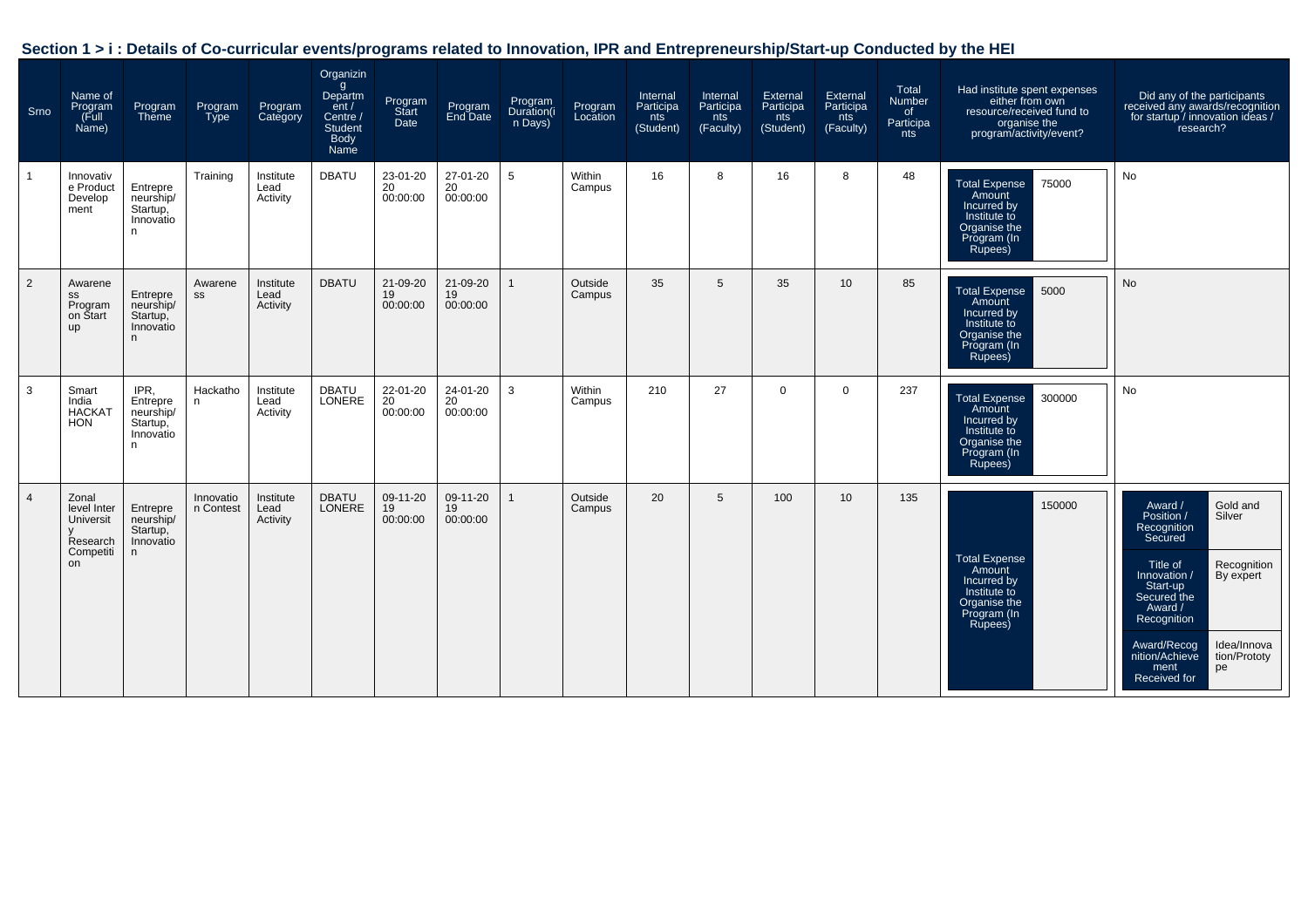| Section 1 > i : Details of Co-curricular events/programs related to Innovation, IPR and Entrepreneurship/Start-up Conducted by the HEI |  |  |
|----------------------------------------------------------------------------------------------------------------------------------------|--|--|
|                                                                                                                                        |  |  |

| Srno           | Name of<br>Program<br>(Full<br>Name)                             | Program<br><b>Theme</b>                                      | Program<br><b>Type</b> | Program<br>Category           | Organizin<br>g<br>Departm<br>ent/<br>Centre /<br><b>Student</b><br>Body<br>Name | Program<br>Start<br>Date   | Program<br>End Date        | Program<br>Duration(i<br>n Days) | Program<br>Location | Internal<br>Participa<br>nts<br>(Student) | Internal<br>Participa<br>nts<br>(Faculty) | External<br>Participa<br>nts<br>(Student) | External<br>Participa<br>nts<br>(Faculty) | Total<br>Number<br>of .<br>Participa<br>nts | Had institute spent expenses<br>either from own<br>resource/received fund to<br>organise the<br>program/activity/event? | Did any of the participants<br>received any awards/recognition<br>for startup / innovation ideas /<br>research?                                                                                                                                                                  |
|----------------|------------------------------------------------------------------|--------------------------------------------------------------|------------------------|-------------------------------|---------------------------------------------------------------------------------|----------------------------|----------------------------|----------------------------------|---------------------|-------------------------------------------|-------------------------------------------|-------------------------------------------|-------------------------------------------|---------------------------------------------|-------------------------------------------------------------------------------------------------------------------------|----------------------------------------------------------------------------------------------------------------------------------------------------------------------------------------------------------------------------------------------------------------------------------|
|                | Innovativ<br>e Product<br>Develop<br>ment                        | Entrepre<br>neurship/<br>Startup,<br>Innovatio<br>n.         | Training               | Institute<br>Lead<br>Activity | <b>DBATU</b>                                                                    | 23-01-20<br>20<br>00:00:00 | 27-01-20<br>20<br>00:00:00 | 5                                | Within<br>Campus    | 16                                        | 8                                         | 16                                        | 8                                         | 48                                          | 75000<br><b>Total Expense</b><br>Amount<br>Incurred by<br>Institute to<br>Organise the<br>Program (In<br>Rupees)        | No                                                                                                                                                                                                                                                                               |
| $\overline{2}$ | Awarene<br>SS<br>Program<br>on Start<br><b>up</b>                | Entrepre<br>neurship/<br>Startup,<br>Innovatio<br>n          | Awarene<br>SS          | Institute<br>Lead<br>Activity | <b>DBATU</b>                                                                    | 21-09-20<br>19<br>00:00:00 | 21-09-20<br>19<br>00:00:00 | $\mathbf{1}$                     | Outside<br>Campus   | 35                                        | $5\phantom{.0}$                           | 35                                        | 10 <sup>1</sup>                           | 85                                          | 5000<br><b>Total Expense</b><br>Amount<br>Incurred by<br>Institute to<br>Organise the<br>Program (In<br>Rupees)         | No                                                                                                                                                                                                                                                                               |
| 3              | Smart<br>India<br><b>HACKAT</b><br><b>HON</b>                    | IPR,<br>Entrepre<br>neurship/<br>Startup,<br>Innovatio<br>n. | Hackatho<br>n          | Institute<br>Lead<br>Activity | <b>DBATU</b><br>LONERE                                                          | 22-01-20<br>20<br>00:00:00 | 24-01-20<br>20<br>00:00:00 | 3                                | Within<br>Campus    | 210                                       | 27                                        | 0                                         | $\overline{0}$                            | 237                                         | 300000<br><b>Total Expense</b><br>Amount<br>Incurred by<br>Institute to<br>Organise the<br>Program (In<br>Rupees)       | No                                                                                                                                                                                                                                                                               |
| $\Delta$       | Zonal<br>level Inter<br>Universit<br>Research<br>Competiti<br>on | Entrepre<br>neurship/<br>Startup,<br>Innovatio<br>n.         | Innovatio<br>n Contest | Institute<br>Lead<br>Activity | <b>DBATU</b><br><b>LONERE</b>                                                   | 09-11-20<br>19<br>00:00:00 | 09-11-20<br>19<br>00:00:00 | $\mathbf{1}$                     | Outside<br>Campus   | 20                                        | 5                                         | 100                                       | 10 <sup>1</sup>                           | 135                                         | 150000<br><b>Total Expense</b><br>Amount<br>Incurred by<br>Institute to<br>Organise the<br>Program (In<br>Rupees)       | Gold and<br>Award /<br>Position /<br>Silver<br>Recognition<br>Secured<br>Recognition<br>Title of<br>Innovation /<br>By expert<br>Start-up<br>Secured the<br>Award /<br>Recognition<br>Idea/Innova<br>Award/Recog<br>nition/Achieve<br>tion/Prototy<br>ment<br>pe<br>Received for |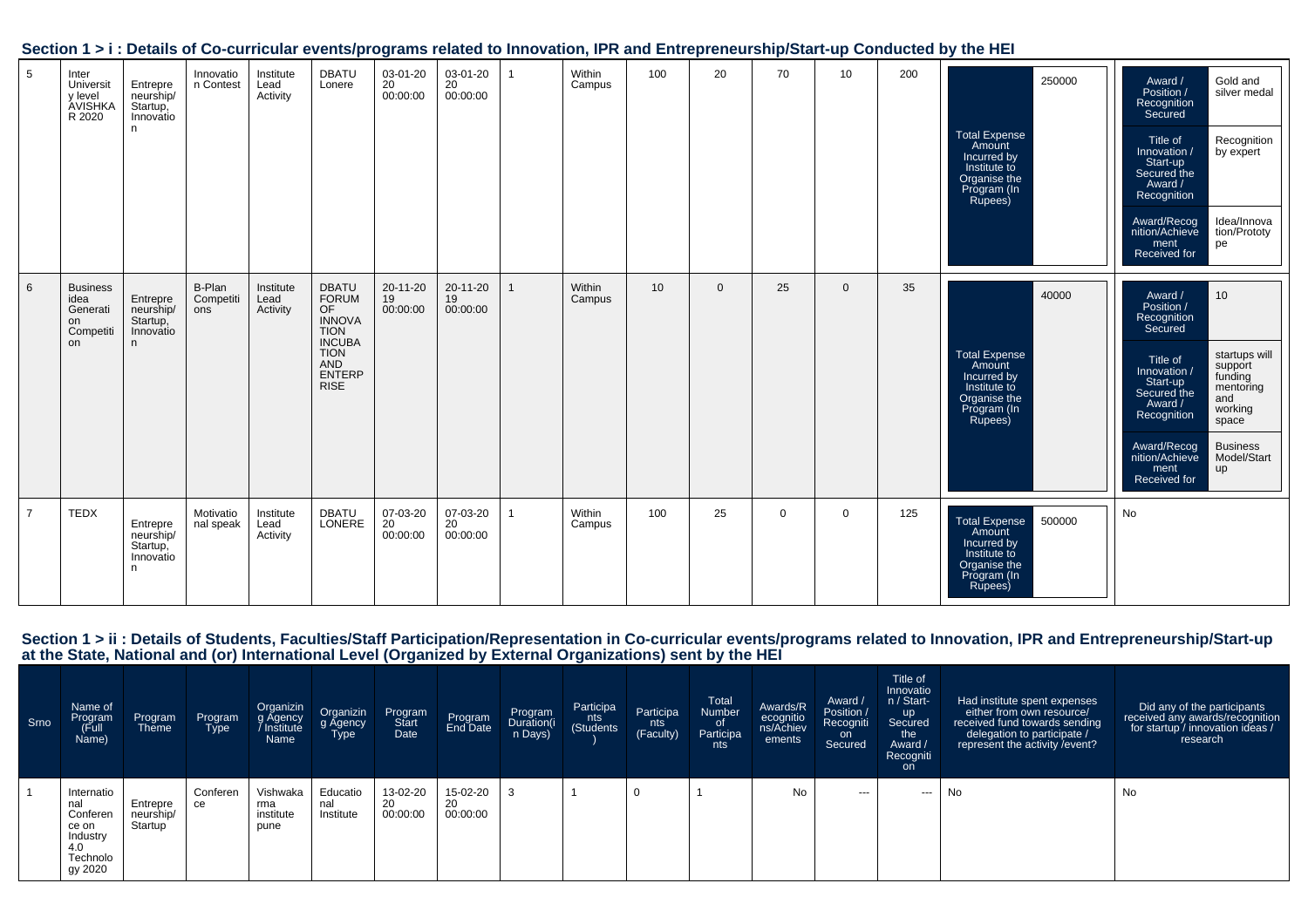|  |  |  |  | Section 1 > i : Details of Co-curricular events/programs related to Innovation, IPR and Entrepreneurship/Start-up Conducted by the HEI |  |  |
|--|--|--|--|----------------------------------------------------------------------------------------------------------------------------------------|--|--|
|  |  |  |  |                                                                                                                                        |  |  |

| 5              | Inter<br>Universit<br>y level<br>AVISHKA<br>R 2020           | Entrepre<br>neurship/<br>Startup,<br>Innovatio<br>n. | Innovatio<br>n Contest     | Institute<br>Lead<br>Activity | <b>DBATU</b><br>Lonere                                                                                                                           | 03-01-20<br>20<br>00:00:00 | 03-01-20<br>20<br>00:00:00       |              | Within<br>Campus | 100 | 20           | 70       | 10           | 200 | 250000<br><b>Total Expense</b><br>Amount<br>Incurred by<br>Institute to<br>Organise the<br>Program (In<br>Rupees) | Gold and<br>Award /<br>Position /<br>silver medal<br>Recognition<br>Secured<br>Title of<br>Recognition<br>Innovation /<br>by expert<br>Start-up<br>Secured the<br>Award /<br>Recognition<br>Award/Recog<br>Idea/Innova<br>nition/Achieve<br>tion/Prototy<br>pe<br>ment<br>Received for                                 |
|----------------|--------------------------------------------------------------|------------------------------------------------------|----------------------------|-------------------------------|--------------------------------------------------------------------------------------------------------------------------------------------------|----------------------------|----------------------------------|--------------|------------------|-----|--------------|----------|--------------|-----|-------------------------------------------------------------------------------------------------------------------|------------------------------------------------------------------------------------------------------------------------------------------------------------------------------------------------------------------------------------------------------------------------------------------------------------------------|
| 6              | <b>Business</b><br>idea<br>Generati<br>on<br>Competiti<br>on | Entrepre<br>neurship/<br>Startup,<br>Innovatio<br>n. | B-Plan<br>Competiti<br>ons | Institute<br>Lead<br>Activity | <b>DBATU</b><br><b>FORUM</b><br>OF<br><b>INNOVA</b><br><b>TION</b><br><b>INCUBA</b><br><b>TION</b><br><b>AND</b><br><b>ENTERP</b><br><b>RISE</b> | 20-11-20<br>19<br>00:00:00 | $20 - 11 - 20$<br>19<br>00:00:00 | $\mathbf{1}$ | Within<br>Campus | 10  | $\mathbf{0}$ | 25       | $\mathbf{0}$ | 35  | 40000<br><b>Total Expense</b><br>Amount<br>Incurred by<br>Institute to<br>Organise the<br>Program (In<br>Rupees)  | 10<br>Award /<br>Position /<br>Recognition<br>Secured<br>startups will<br>Title of<br>support<br>funding<br>Innovation /<br>Start-up<br>mentoring<br>Secured the<br>and<br>Award /<br>working<br>Recognition<br>space<br><b>Business</b><br>Award/Recog<br>nition/Achieve<br>Model/Start<br>up<br>ment<br>Received for |
| $\overline{7}$ | <b>TEDX</b>                                                  | Entrepre<br>neurship/<br>Startup,<br>Innovatio<br>n. | Motivatio<br>nal speak     | Institute<br>Lead<br>Activity | <b>DBATU</b><br>LONERE                                                                                                                           | 07-03-20<br>20<br>00:00:00 | 07-03-20<br>20<br>00:00:00       | 1            | Within<br>Campus | 100 | 25           | $\Omega$ | $\Omega$     | 125 | <b>Total Expense</b><br>500000<br>Amount<br>Incurred by<br>Institute to<br>Organise the<br>Program (In<br>Rupees) | No                                                                                                                                                                                                                                                                                                                     |

# Section 1 > ii : Details of Students, Faculties/Staff Participation/Representation in Co-curricular events/programs related to Innovation, IPR and Entrepreneurship/Start-up<br>at the State, National and (or) International Lev

| Srno | Name of<br>Program<br>(Full<br>Name)                                             | Program<br>Theme                 | Program<br>Type | Organizin<br>g Agency<br>Institute<br>Name | Organizin<br>g Agency<br>Type | Program<br>Start<br>Date   | Program<br>End Date        | <b>Program</b><br>Duration(i<br>n Days) | Participa<br>nts<br>(Students | Participa<br>nts<br>(Faculty) | <b>Total</b><br>Number<br>_of<br>Participa<br>nts | Awards/R<br>ecognitio<br>ns/Achiev<br>ements | Award /<br>Position /<br>Recogniti<br>on<br>Secured | Title of<br>Innovatio<br>n / Start-<br><b>up</b><br>Secured<br>the<br>Award /<br>Recogniti<br>on. | Had institute spent expenses<br>either from own resource/<br>received fund towards sending<br>delegation to participate /<br>represent the activity / event? | Did any of the participants<br>received any awards/recognition<br>for startup / innovation ideas /<br>research |
|------|----------------------------------------------------------------------------------|----------------------------------|-----------------|--------------------------------------------|-------------------------------|----------------------------|----------------------------|-----------------------------------------|-------------------------------|-------------------------------|---------------------------------------------------|----------------------------------------------|-----------------------------------------------------|---------------------------------------------------------------------------------------------------|--------------------------------------------------------------------------------------------------------------------------------------------------------------|----------------------------------------------------------------------------------------------------------------|
|      | Internatio<br>nal<br>Conferen<br>ce on<br>Industry<br>4.0<br>Technolo<br>gy 2020 | Entrepre<br>neurship/<br>Startup | Conferen<br>ce  | Vishwaka<br>rma<br>institute<br>pune       | Educatio<br>nal<br>Institute  | 13-02-20<br>20<br>00:00:00 | 15-02-20<br>20<br>00:00:00 |                                         |                               |                               |                                                   | No                                           | $- - -$                                             | ---                                                                                               | No                                                                                                                                                           | No                                                                                                             |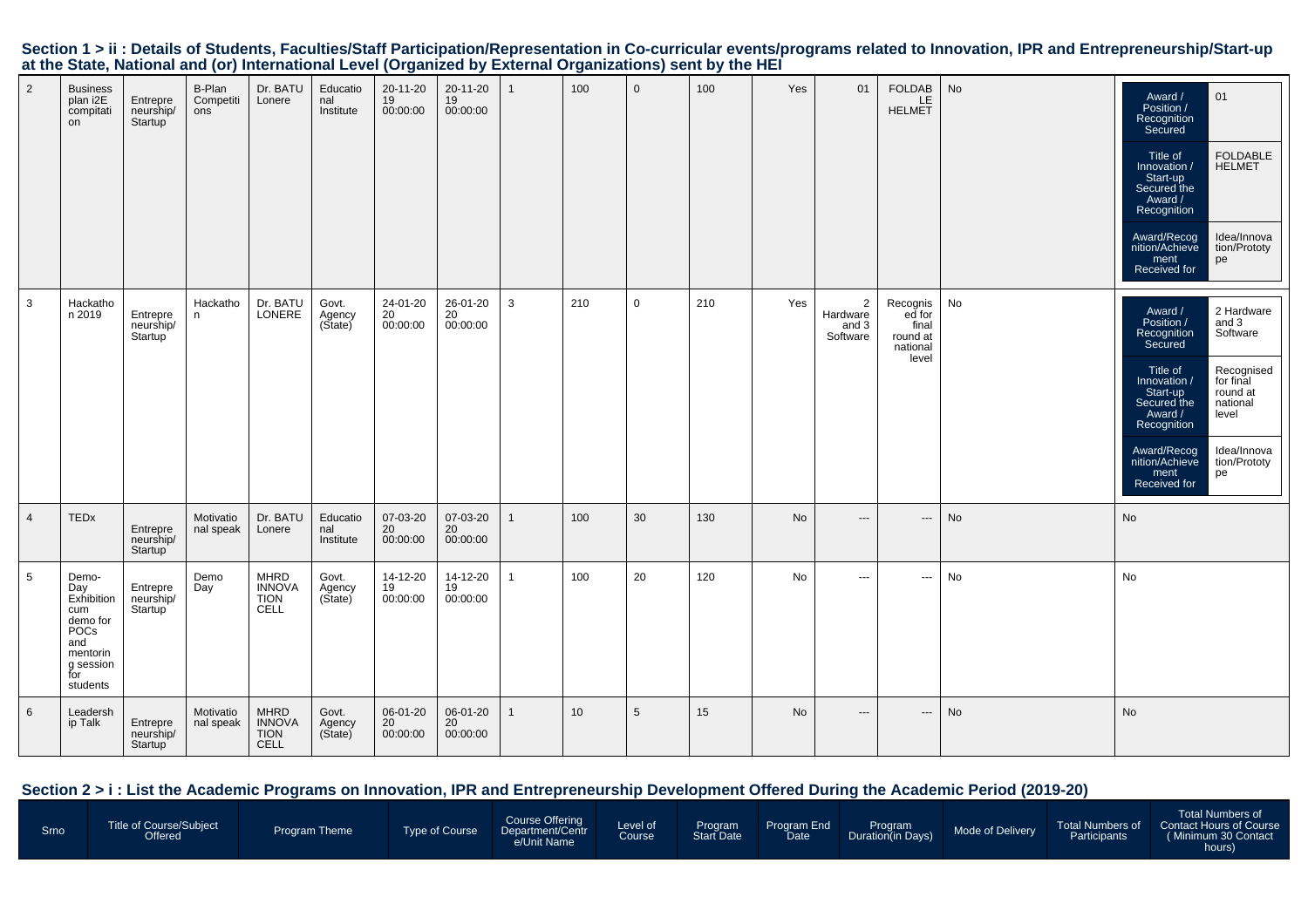| $\overline{2}$  | <b>Business</b><br>plan i2E<br>compitati<br>on                                                           | Entrepre<br>neurship/<br>Startup | B-Plan<br>Competiti<br>ons | Dr. BATU<br>Lonere                                         | Educatio<br>nal<br>Institute | 20-11-20<br>19<br>00:00:00           | 20-11-20<br>19<br>00:00:00 | $\mathbf{1}$ | 100             | $\mathbf{0}$   | 100 | Yes | 01                                              | <b>FOLDAB</b><br>LE.<br><b>HELMET</b>                        | No | 01<br>Award /<br>Position /<br>Recognition<br>Secured<br><b>FOLDABLE</b><br>Title of<br><b>HELMET</b><br>Innovation /<br>Start-up<br>Secured the<br>Award /<br>Recognition<br>Idea/Innova<br>Award/Recog<br>nition/Achieve<br>tion/Prototy<br>pe<br>ment<br>Received for                                                      |
|-----------------|----------------------------------------------------------------------------------------------------------|----------------------------------|----------------------------|------------------------------------------------------------|------------------------------|--------------------------------------|----------------------------|--------------|-----------------|----------------|-----|-----|-------------------------------------------------|--------------------------------------------------------------|----|-------------------------------------------------------------------------------------------------------------------------------------------------------------------------------------------------------------------------------------------------------------------------------------------------------------------------------|
| $\mathbf{3}$    | Hackatho<br>n 2019                                                                                       | Entrepre<br>neurship/<br>Startup | Hackatho<br>n              | Dr. BATU<br>LONERE                                         | Govt.<br>Agency<br>(State)   | 24-01-20<br>$^{20}_{20}$<br>00:00:00 | 26-01-20<br>20<br>00:00:00 | 3            | 210             | $\mathbf 0$    | 210 | Yes | $\overline{2}$<br>Hardware<br>and 3<br>Software | Recognis<br>ed for<br>final<br>round at<br>national<br>level | No | 2 Hardware<br>Award /<br>Position /<br>and 3<br>Software<br>Recognition<br>Secured<br>Recognised<br>Title of<br>for final<br>Innovation /<br>Start-up<br>round at<br>national<br>Secured the<br>Award /<br>level<br>Recognition<br>Idea/Innova<br>Award/Recog<br>nition/Achieve<br>tion/Prototy<br>pe<br>ment<br>Received for |
| $\overline{4}$  | <b>TEDx</b>                                                                                              | Entrepre<br>neurship/<br>Startup | Motivatio<br>nal speak     | Dr. BATU<br>Lonere                                         | Educatio<br>nal<br>Institute | 07-03-20<br>20<br>00:00:00           | 07-03-20<br>20<br>00:00:00 | $\mathbf{1}$ | 100             | 30             | 130 | No  | $\hspace{0.05cm} \ldots$                        | $\hspace{0.05cm} \cdots$                                     | No | No                                                                                                                                                                                                                                                                                                                            |
| $5\overline{)}$ | Demo-<br>Day<br>Exhibition<br>cum<br>demo for<br>POCs<br>and<br>mentorin<br>g session<br>for<br>students | Entrepre<br>neurship/<br>Startup | Demo<br>Day                | <b>MHRD</b><br><b>INNOVA</b><br><b>TION</b><br>CELL        | Govt.<br>Agency<br>(State)   | 14-12-20<br>19<br>00:00:00           | 14-12-20<br>19<br>00:00:00 | $\mathbf{1}$ | 100             | 20             | 120 | No  | $\hspace{0.05cm} \cdots$                        | $\cdots$                                                     | No | No                                                                                                                                                                                                                                                                                                                            |
| 6               | Leadersh<br>ip Talk                                                                                      | Entrepre<br>neurship/<br>Startup | Motivatio<br>nal speak     | <b>MHRD</b><br><b>INNOVA</b><br><b>TION</b><br><b>CELL</b> | Govt.<br>Agency<br>(State)   | 06-01-20<br>20<br>00:00:00           | 06-01-20<br>20<br>00:00:00 | $\mathbf{1}$ | 10 <sup>1</sup> | $5\phantom{1}$ | 15  | No  | $\hspace{0.05cm} \ldots$                        | $\hspace{0.05cm} \ldots$                                     | No | No                                                                                                                                                                                                                                                                                                                            |

# Section 1 > ii : Details of Students, Faculties/Staff Participation/Representation in Co-curricular events/programs related to Innovation, IPR and Entrepreneurship/Start-up<br>at the State, National and (or) International Lev

# **Section 2 > i : List the Academic Programs on Innovation, IPR and Entrepreneurship Development Offered During the Academic Period (2019-20)**

| Srno | Title of Course/Subject<br>Offered <sup>®</sup> | Program Theme | Type of Course | Course Offering<br>Department/Centr<br>e/Unit Name | Level of<br><b>Course</b> | Program<br><b>Start Date</b> | Program End<br>Date | <b>Program</b><br>Duration(in Days) | Mode of Delivery | Participants | Total Numbers of<br>Total Numbers of Contact Hours of Course<br>(Minimum 30 Contact)<br>hours) |
|------|-------------------------------------------------|---------------|----------------|----------------------------------------------------|---------------------------|------------------------------|---------------------|-------------------------------------|------------------|--------------|------------------------------------------------------------------------------------------------|
|------|-------------------------------------------------|---------------|----------------|----------------------------------------------------|---------------------------|------------------------------|---------------------|-------------------------------------|------------------|--------------|------------------------------------------------------------------------------------------------|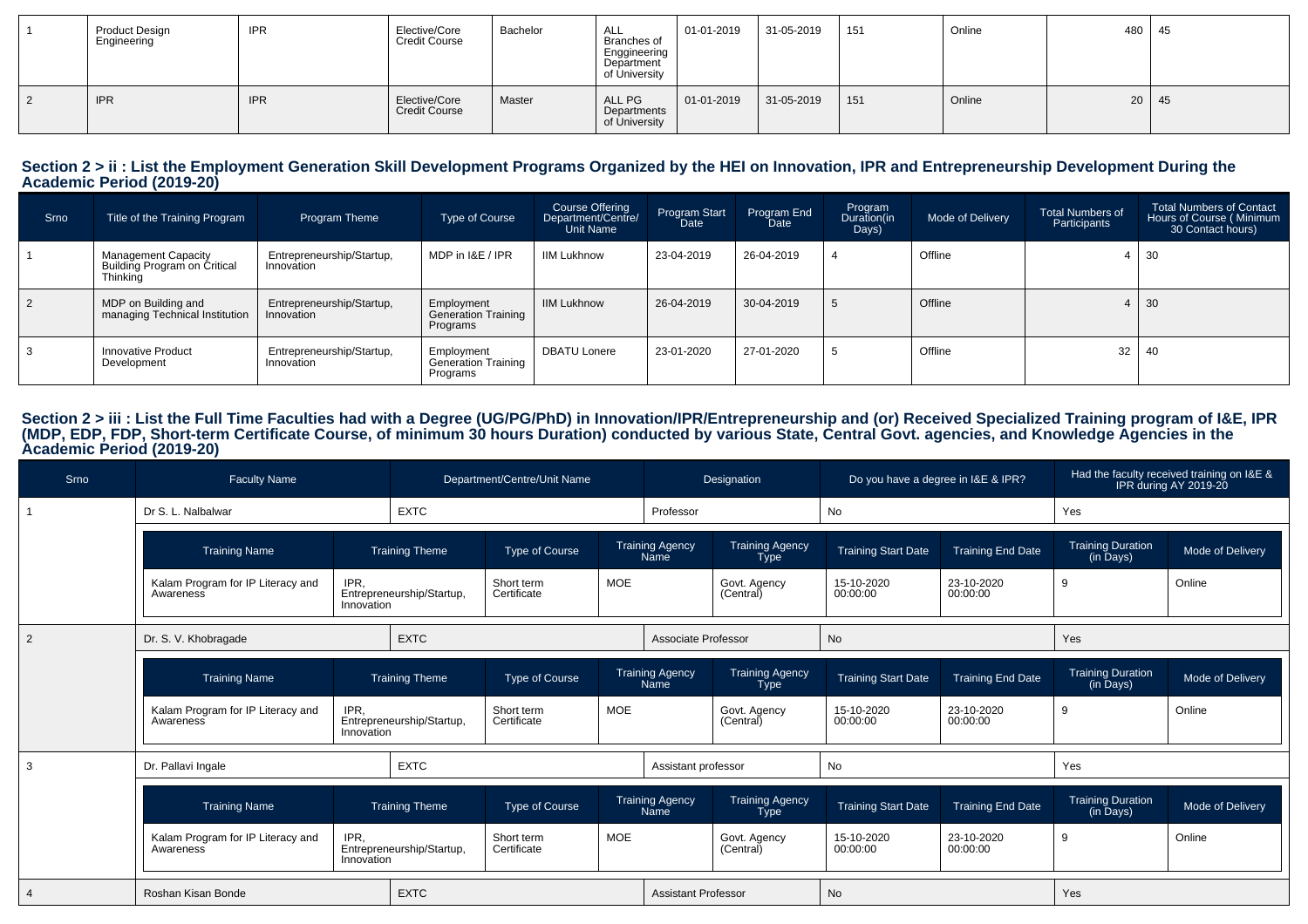| <b>Product Design</b><br>Engineering | <b>IPR</b> | Elective/Core<br><b>Credit Course</b> | Bachelor | $A$ <sub><math>1</math></sub><br>ALL<br>Branches of<br>Enggineering<br>Department<br>of University | 01-01-2019         | 31-05-2019 | 151 | Online | 480 | $\vert$ 45   |
|--------------------------------------|------------|---------------------------------------|----------|----------------------------------------------------------------------------------------------------|--------------------|------------|-----|--------|-----|--------------|
| <b>IPR</b>                           | <b>IPR</b> | Elective/Core<br><b>Credit Course</b> | Master   | ALL PG<br>Departments<br>of University                                                             | $  01 - 01 - 2019$ | 31-05-2019 | 151 | Online |     | $20 \mid 45$ |

# **Section 2 > ii : List the Employment Generation Skill Development Programs Organized by the HEI on Innovation, IPR and Entrepreneurship Development During the Academic Period (2019-20)**

| Srno      | Title of the Training Program                                          | Program Theme                           | Type of Course                                       | Course Offering<br>Department/Centre/<br><b>Unit Name</b> | Program Start<br>Date | Program End<br>Date | Program<br>Duration(in<br>Days) | Mode of Delivery | <b>Total Numbers of</b><br>Participants | <b>Total Numbers of Contact</b><br>Hours of Course (Minimum<br>30 Contact hours) |
|-----------|------------------------------------------------------------------------|-----------------------------------------|------------------------------------------------------|-----------------------------------------------------------|-----------------------|---------------------|---------------------------------|------------------|-----------------------------------------|----------------------------------------------------------------------------------|
|           | <b>Management Capacity</b><br>Building Program on Critical<br>Thinking | Entrepreneurship/Startup,<br>Innovation | MDP in I&E / IPR                                     | <b>IIM Lukhnow</b>                                        | 23-04-2019            | 26-04-2019          |                                 | Offline          |                                         | 30                                                                               |
| $\vert$ 2 | MDP on Building and<br>managing Technical Institution                  | Entrepreneurship/Startup,<br>Innovation | Employment<br><b>Generation Training</b><br>Programs | <b>IIM Lukhnow</b>                                        | 26-04-2019            | 30-04-2019          | 5                               | Offline          | 4                                       | 30                                                                               |
|           | Innovative Product<br>Development                                      | Entrepreneurship/Startup,<br>Innovation | Employment<br>Generation Training<br>Programs        | <b>DBATU Lonere</b>                                       | 23-01-2020            | 27-01-2020          |                                 | Offline          | 32                                      | 40                                                                               |

# Section 2 > iii : List the Full Time Faculties had with a Degree (UG/PG/PhD) in Innovation/IPR/Entrepreneurship and (or) Received Specialized Training program of I&E, IPR<br>(MDP, EDP, FDP, Short-term Certificate Course, of m

| Srno           | <b>Faculty Name</b>                            |                    |                           | Department/Centre/Unit Name |            |                                | Designation                    | Do you have a degree in I&E & IPR? |                          | Had the faculty received training on I&E &<br>IPR during AY 2019-20 |                  |
|----------------|------------------------------------------------|--------------------|---------------------------|-----------------------------|------------|--------------------------------|--------------------------------|------------------------------------|--------------------------|---------------------------------------------------------------------|------------------|
|                | Dr S. L. Nalbalwar                             |                    | <b>EXTC</b>               |                             |            | Professor                      |                                | No                                 |                          | Yes                                                                 |                  |
|                | <b>Training Name</b>                           |                    | <b>Training Theme</b>     | Type of Course              |            | <b>Training Agency</b><br>Name | Training Agency<br><b>Type</b> | <b>Training Start Date</b>         | <b>Training End Date</b> | Training Duration<br>(in Days)                                      | Mode of Delivery |
|                | Kalam Program for IP Literacy and<br>Awareness | IPR,<br>Innovation | Entrepreneurship/Startup, | Short term<br>Certificate   | <b>MOE</b> |                                | Govt. Agency<br>(Central)      | 15-10-2020<br>00:00:00             | 23-10-2020<br>00:00:00   | 9                                                                   | Online           |
| $\overline{2}$ | Dr. S. V. Khobragade                           |                    | <b>EXTC</b>               |                             |            | Associate Professor            |                                | No                                 |                          | Yes                                                                 |                  |
|                | <b>Training Name</b>                           |                    | <b>Training Theme</b>     | Type of Course              |            | <b>Training Agency</b><br>Name | <b>Training Agency</b><br>Type | <b>Training Start Date</b>         | <b>Training End Date</b> | <b>Training Duration</b><br>(in Days)                               | Mode of Delivery |
|                | Kalam Program for IP Literacy and<br>Awareness | IPR.<br>Innovation | Entrepreneurship/Startup, | Short term<br>Certificate   | <b>MOE</b> |                                | Govt. Agency<br>(Central)      | 15-10-2020<br>00:00:00             | 23-10-2020<br>00:00:00   | 9                                                                   | Online           |
| 3              | Dr. Pallavi Ingale                             |                    | <b>EXTC</b>               |                             |            | Assistant professor            |                                | No                                 |                          | Yes                                                                 |                  |
|                | <b>Training Name</b>                           |                    | <b>Training Theme</b>     | Type of Course              |            | <b>Training Agency</b><br>Name | Training Agency<br>Type        | <b>Training Start Date</b>         | <b>Training End Date</b> | Training Duration<br>(in Days)                                      | Mode of Delivery |
|                | Kalam Program for IP Literacy and<br>Awareness | IPR.<br>Innovation | Entrepreneurship/Startup, | Short term<br>Certificate   | <b>MOE</b> |                                | Govt. Agency<br>(Central)      | 15-10-2020<br>00:00:00             | 23-10-2020<br>00:00:00   | 9                                                                   | Online           |
|                | Roshan Kisan Bonde                             |                    | <b>EXTC</b>               |                             |            | <b>Assistant Professor</b>     |                                | No                                 |                          | Yes                                                                 |                  |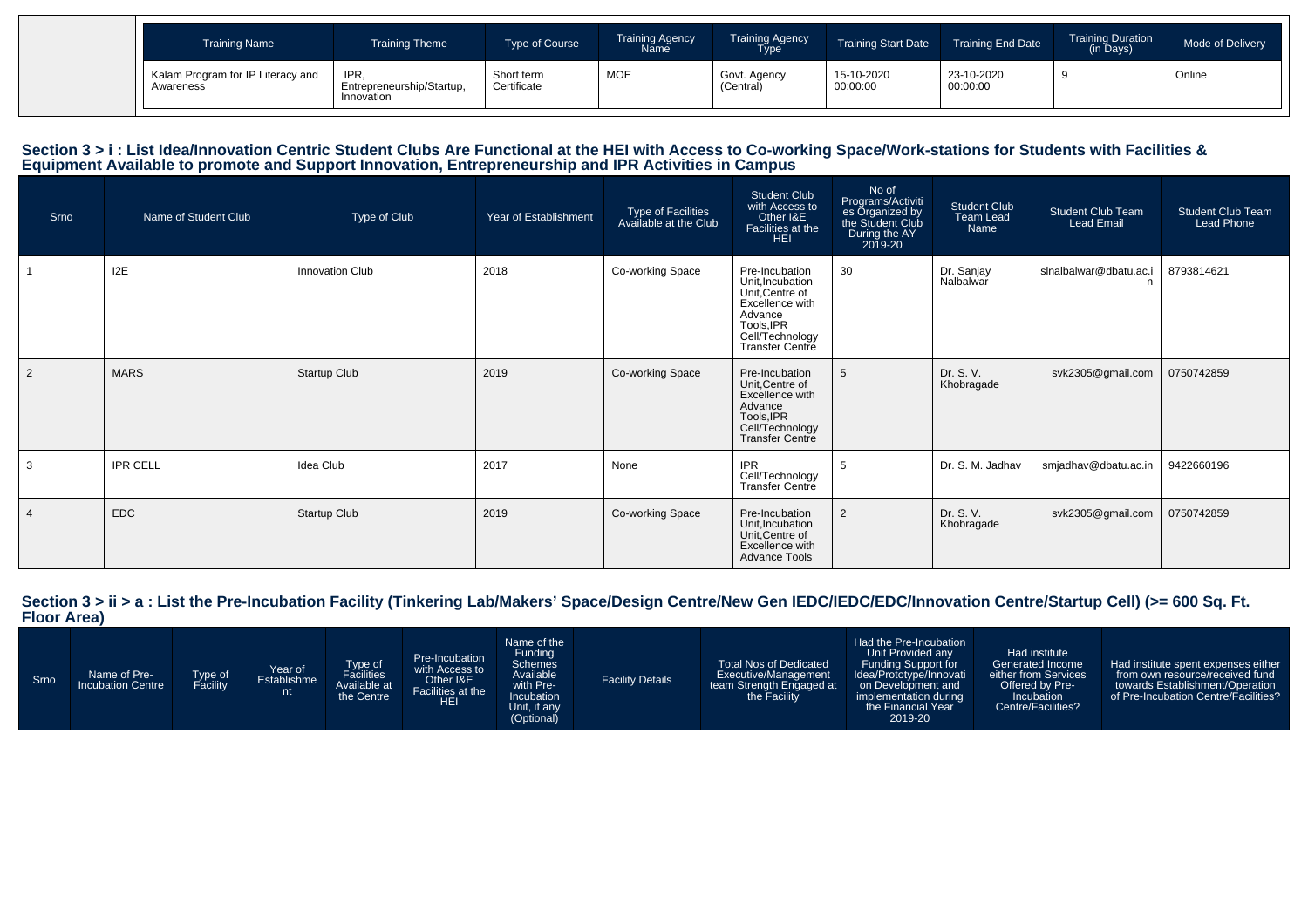| <b>Training Name</b>                           | <b>Training Theme</b>                           | Type of Course            | <b>Training Agency</b><br>Name <sup>1</sup> | <b>Training Agency</b><br><b>Type</b> | <b>Training Start Date</b> | <b>Training End Date</b> | <b>Training Duration</b><br>(in Days) | Mode of Delivery |
|------------------------------------------------|-------------------------------------------------|---------------------------|---------------------------------------------|---------------------------------------|----------------------------|--------------------------|---------------------------------------|------------------|
| Kalam Program for IP Literacy and<br>Awareness | IPR.<br>Entrepreneurship/Startup,<br>Innovation | Short term<br>Certificate | <b>MOE</b>                                  | Govt. Agency<br>(Central)             | 15-10-2020<br>00:00:00     | 23-10-2020<br>00:00:00   |                                       | Online           |

# Section 3 > i : List Idea/Innovation Centric Student Clubs Are Functional at the HEI with Access to Co-working Space/Work-stations for Students with Facilities &<br>Equipment Available to promote and Support Innovation, Entre

| Srno           | Name of Student Club | Type of Club    | Year of Establishment | Type of Facilities<br>Available at the Club | <b>Student Club</b><br>with Access to<br>Other I&E<br>Facilities at the<br><b>HEI</b>                                                          | No of<br>Programs/Activiti<br>es Organized by<br>the Student Club<br>During the AY<br>2019-20 | Student Club<br>Team Lead<br>Name | <b>Student Club Team</b><br><b>Lead Email</b> | <b>Student Club Team</b><br><b>Lead Phone</b> |
|----------------|----------------------|-----------------|-----------------------|---------------------------------------------|------------------------------------------------------------------------------------------------------------------------------------------------|-----------------------------------------------------------------------------------------------|-----------------------------------|-----------------------------------------------|-----------------------------------------------|
|                | 12E                  | Innovation Club | 2018                  | Co-working Space                            | Pre-Incubation<br>Unit, Incubation<br>Unit, Centre of<br>Excellence with<br>Advance<br>Tools, IPR<br>Cell/Technology<br><b>Transfer Centre</b> | 30                                                                                            | Dr. Sanjay<br>Nalbalwar           | slnalbalwar@dbatu.ac.i                        | 8793814621                                    |
| $\overline{2}$ | <b>MARS</b>          | Startup Club    | 2019                  | Co-working Space                            | Pre-Incubation<br>Unit, Centre of<br>Excellence with<br>Advance<br>Tools, IPR<br>Cell/Technology<br><b>Transfer Centre</b>                     | 5                                                                                             | Dr. S. V.<br>Khobragade           | svk2305@gmail.com                             | 0750742859                                    |
| 3              | <b>IPR CELL</b>      | Idea Club       | 2017                  | None                                        | <b>IPR</b><br>Cell/Technology<br><b>Transfer Centre</b>                                                                                        | -5                                                                                            | Dr. S. M. Jadhav                  | smjadhav@dbatu.ac.in                          | 9422660196                                    |
|                | <b>EDC</b>           | Startup Club    | 2019                  | Co-working Space                            | Pre-Incubation<br>Unit, Incubation<br>Unit, Centre of<br>Excellence with<br><b>Advance Tools</b>                                               | $\overline{2}$                                                                                | Dr. S. V.<br>Khobragade           | svk2305@gmail.com                             | 0750742859                                    |

**Section 3 > ii > a : List the Pre-Incubation Facility (Tinkering Lab/Makers' Space/Design Centre/New Gen IEDC/IEDC/EDC/Innovation Centre/Startup Cell) (>= 600 Sq. Ft. Floor Area)**

| Srno | Name of Pre-<br><b>Incubation Centre</b> | ⊺ype of<br>Facility | Year of<br>Establishme | Type of<br>Facilities<br>Available at<br>the Centre | Pre-Incubation<br>with Access to<br>Other I&E<br>Facilities at the<br>HEI | Name of the<br>Funding<br><b>Schemes</b><br>Available<br>with Pre-<br>Incubation<br>Unit, if any<br>(Optional) | <b>Facility Details</b> | <b>Total Nos of Dedicated</b><br>Executive/Management<br>team Strength Engaged at<br>the Facility | Had the Pre-Incubation<br>Unit Provided any<br>Funding Support for<br>Idea/Prototype/Innovati<br>on Development and<br>implementation during<br>the Financial Year<br>2019-20 | Had institute<br>Generated Income<br>either from Services<br>Offered by Pre-<br>Incubation<br>Centre/Facilities? | Had institute spent expenses either<br>from own resource/received fund<br>towards Establishment/Operation<br>of Pre-Incubation Centre/Facilities? |
|------|------------------------------------------|---------------------|------------------------|-----------------------------------------------------|---------------------------------------------------------------------------|----------------------------------------------------------------------------------------------------------------|-------------------------|---------------------------------------------------------------------------------------------------|-------------------------------------------------------------------------------------------------------------------------------------------------------------------------------|------------------------------------------------------------------------------------------------------------------|---------------------------------------------------------------------------------------------------------------------------------------------------|
|------|------------------------------------------|---------------------|------------------------|-----------------------------------------------------|---------------------------------------------------------------------------|----------------------------------------------------------------------------------------------------------------|-------------------------|---------------------------------------------------------------------------------------------------|-------------------------------------------------------------------------------------------------------------------------------------------------------------------------------|------------------------------------------------------------------------------------------------------------------|---------------------------------------------------------------------------------------------------------------------------------------------------|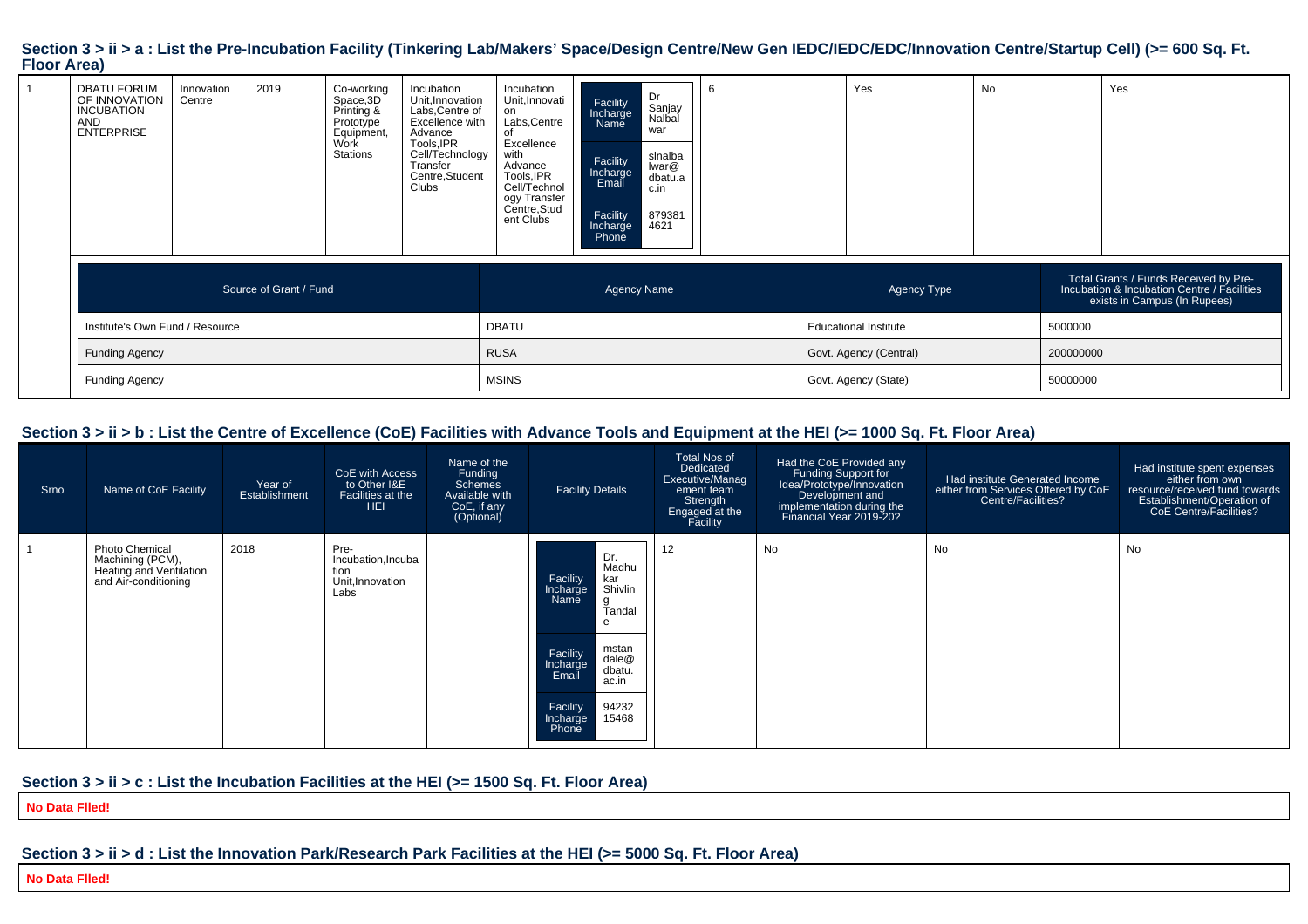#### Section 3 > ii > a : List the Pre-Incubation Facility (Tinkering Lab/Makers' Space/Design Centre/New Gen IEDC/IEDC/EDC/Innovation Centre/Startup Cell) (>= 600 Sq. Ft. **Floor Area)**

| <b>DBATU FORUM</b><br>OF INNOVATION<br><b>INCUBATION</b><br><b>AND</b><br><b>ENTERPRISE</b> | Innovation<br>Centre | 2019                   | Co-working<br>Space, 3D<br>Printing &<br>Prototype<br>Equipment,<br>Work<br>Stations | Incubation<br>Unit, Innovation<br>Labs, Centre of<br>Excellence with<br>Advance<br>Tools, IPR<br>Cell/Technology<br>Transfer<br>Centre, Student<br>Clubs | Incubation<br>Unit, Innovati<br>on<br>Labs, Centre<br>Excellence<br>with<br>Advance<br>Tools, IPR<br>Cell/Technol<br>ogy Transfer<br>Centre,Stud<br>ent Clubs | Facility<br>Incharge<br>Name<br>Facility<br>Incharge<br>Email<br>Facility<br>Incharge<br>Phone | Dr<br>Sanjay<br>Nalbal<br>war<br>slnalba<br>lwar@<br>dbatu.a<br>c.in<br>879381<br>4621 |  | Yes                          | <b>No</b> |           | Yes                                                                                                                  |
|---------------------------------------------------------------------------------------------|----------------------|------------------------|--------------------------------------------------------------------------------------|----------------------------------------------------------------------------------------------------------------------------------------------------------|---------------------------------------------------------------------------------------------------------------------------------------------------------------|------------------------------------------------------------------------------------------------|----------------------------------------------------------------------------------------|--|------------------------------|-----------|-----------|----------------------------------------------------------------------------------------------------------------------|
|                                                                                             |                      | Source of Grant / Fund |                                                                                      |                                                                                                                                                          |                                                                                                                                                               | <b>Agency Name</b>                                                                             |                                                                                        |  | Agency Type                  |           |           | Total Grants / Funds Received by Pre-<br>Incubation & Incubation Centre / Facilities<br>exists in Campus (In Rupees) |
| Institute's Own Fund / Resource                                                             |                      |                        |                                                                                      |                                                                                                                                                          | <b>DBATU</b>                                                                                                                                                  |                                                                                                |                                                                                        |  | <b>Educational Institute</b> |           | 5000000   |                                                                                                                      |
| <b>Funding Agency</b>                                                                       |                      |                        |                                                                                      |                                                                                                                                                          | <b>RUSA</b>                                                                                                                                                   |                                                                                                |                                                                                        |  | Govt. Agency (Central)       |           | 200000000 |                                                                                                                      |
| <b>Funding Agency</b>                                                                       |                      |                        |                                                                                      | <b>MSINS</b>                                                                                                                                             |                                                                                                                                                               |                                                                                                | Govt. Agency (State)                                                                   |  |                              | 50000000  |           |                                                                                                                      |

#### **Section 3 > ii > b : List the Centre of Excellence (CoE) Facilities with Advance Tools and Equipment at the HEI (>= 1000 Sq. Ft. Floor Area)**

| Srno | Name of CoE Facility                                                                         | Year of<br>Establishment | CoE with Access<br>to Other I&E<br>Facilities at the<br><b>HEI</b> | Name of the<br>Funding<br><b>Schemes</b><br>Available with<br>CoE, if any<br>(Optional) | <b>Facility Details</b>                                                                                                                                                                                     | <b>Total Nos of</b><br>Dedicated<br>Executive/Manag<br>ement team<br>Strength<br>Engaged at the<br>Facility | Had the CoE Provided any<br>Funding Support for<br>Idea/Prototype/Innovation<br>Development and<br>implementation during the<br>Financial Year 2019-20? | Had institute Generated Income<br>either from Services Offered by CoE<br>Centre/Facilities? | Had institute spent expenses<br>either from own<br>resource/received fund towards<br>Establishment/Operation of<br>CoE Centre/Facilities? |
|------|----------------------------------------------------------------------------------------------|--------------------------|--------------------------------------------------------------------|-----------------------------------------------------------------------------------------|-------------------------------------------------------------------------------------------------------------------------------------------------------------------------------------------------------------|-------------------------------------------------------------------------------------------------------------|---------------------------------------------------------------------------------------------------------------------------------------------------------|---------------------------------------------------------------------------------------------|-------------------------------------------------------------------------------------------------------------------------------------------|
|      | <b>Photo Chemical</b><br>Machining (PCM),<br>Heating and Ventilation<br>and Air-conditioning | 2018                     | Pre-<br>Incubation, Incuba<br>tion<br>Unit, Innovation<br>Labs     |                                                                                         | Dr.<br>Madhu<br>Facility<br>Incharge<br>kar<br>Shivlin<br>Name<br>g<br>Tandal<br>e<br>mstan<br>Facility<br>Incharge<br>dale@<br>dbatu.<br>Email<br>ac.in<br>94232<br>Facility<br>Incharge<br>15468<br>Phone | 12                                                                                                          | No                                                                                                                                                      | No                                                                                          | No                                                                                                                                        |

#### **Section 3 > ii > c : List the Incubation Facilities at the HEI (>= 1500 Sq. Ft. Floor Area)**

**No Data Flled!**

### **Section 3 > ii > d : List the Innovation Park/Research Park Facilities at the HEI (>= 5000 Sq. Ft. Floor Area)**

**No Data Flled!**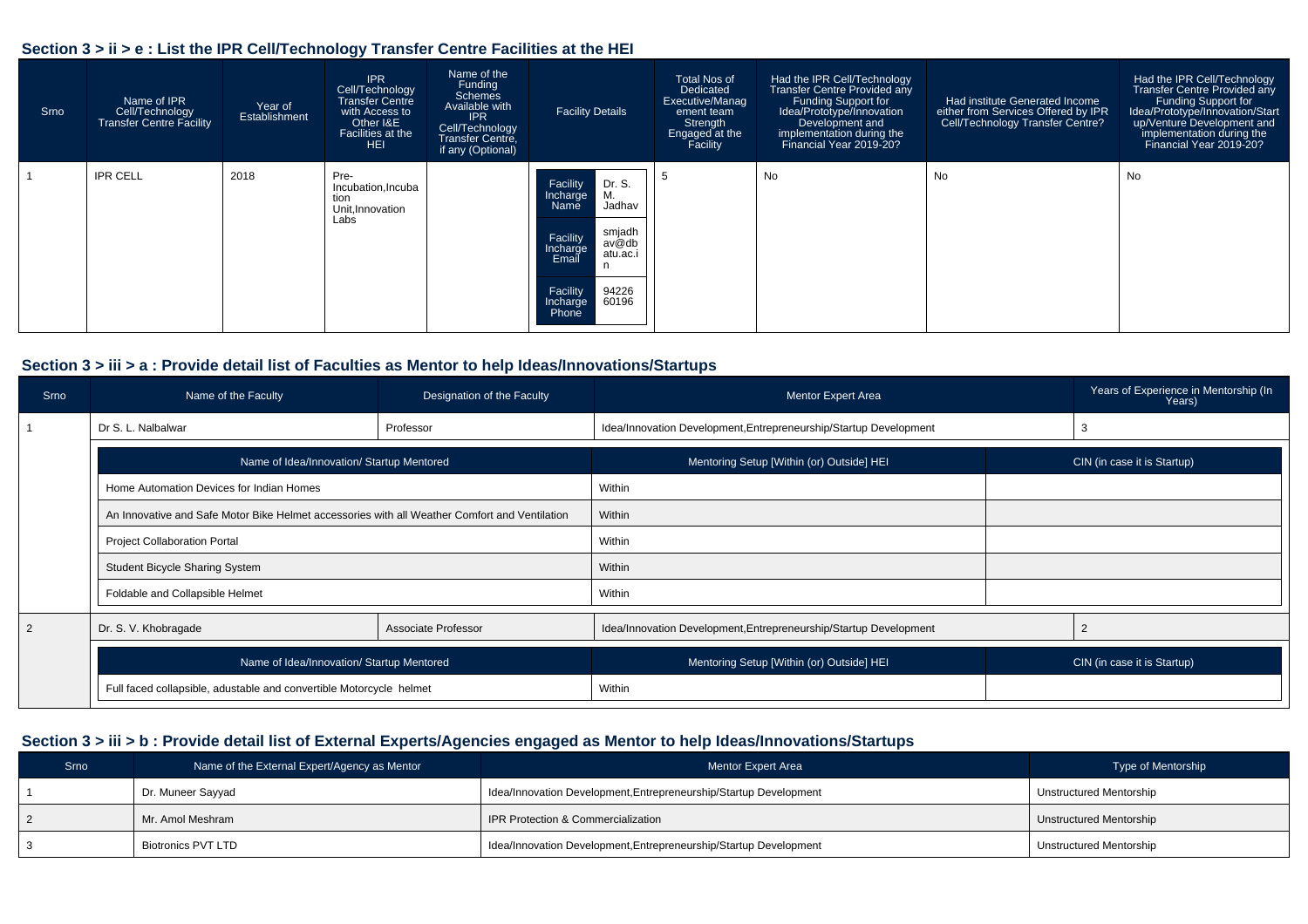#### **Section 3 > ii > e : List the IPR Cell/Technology Transfer Centre Facilities at the HEI**

| Srno | Name of IPR<br>Cell/Technology<br>Transfer Centre Facility | Year of<br>Establishment | <b>IPR</b><br>Cell/Technology<br><b>Transfer Centre</b><br>with Access to<br>Other I&E<br>Facilities at the<br>HEI | Name of the<br>Funding<br><b>Schemes</b><br>Available with<br><b>IPR</b><br>Cell/Technology<br>Transfer Centre,<br>if any (Optional) | <b>Facility Details</b>                                                                                                                                                   | Total Nos of<br>Dedicated<br>Executive/Manag<br>ement team<br>Strength<br>Engaged at the<br>Facility | Had the IPR Cell/Technology<br><b>Transfer Centre Provided any</b><br>Funding Support for<br>Idea/Prototype/Innovation<br>Development and<br>implementation during the<br>Financial Year 2019-20? | Had institute Generated Income<br>either from Services Offered by IPR<br>Cell/Technology Transfer Centre? | Had the IPR Cell/Technology<br>Transfer Centre Provided any<br>Funding Support for<br>Idea/Prototype/Innovation/Start<br>up/Venture Development and<br>implementation during the<br>Financial Year 2019-20? |
|------|------------------------------------------------------------|--------------------------|--------------------------------------------------------------------------------------------------------------------|--------------------------------------------------------------------------------------------------------------------------------------|---------------------------------------------------------------------------------------------------------------------------------------------------------------------------|------------------------------------------------------------------------------------------------------|---------------------------------------------------------------------------------------------------------------------------------------------------------------------------------------------------|-----------------------------------------------------------------------------------------------------------|-------------------------------------------------------------------------------------------------------------------------------------------------------------------------------------------------------------|
|      | <b>IPR CELL</b>                                            | 2018                     | Pre-<br>Incubation, Incuba<br>tion<br>Unit, Innovation<br>Labs                                                     |                                                                                                                                      | Facility<br>Dr. S.<br>Μ.<br>Incharge<br>Jadhav<br>Name<br>smjadh<br>Facility<br>av@db<br>Incharge<br>atu.ac.i<br>Email<br>Facility<br>94226<br>60196<br>Incharge<br>Phone |                                                                                                      | No                                                                                                                                                                                                | No                                                                                                        | <b>No</b>                                                                                                                                                                                                   |

#### **Section 3 > iii > a : Provide detail list of Faculties as Mentor to help Ideas/Innovations/Startups**

| Srno | Name of the Faculty                                                                           | Designation of the Faculty | <b>Mentor Expert Area</b>                                         |                             | Years of Experience in Mentorship (In<br>Years) |  |  |  |  |
|------|-----------------------------------------------------------------------------------------------|----------------------------|-------------------------------------------------------------------|-----------------------------|-------------------------------------------------|--|--|--|--|
|      | Dr S. L. Nalbalwar                                                                            | Professor                  | Idea/Innovation Development, Entrepreneurship/Startup Development |                             |                                                 |  |  |  |  |
|      | Name of Idea/Innovation/ Startup Mentored                                                     |                            | Mentoring Setup [Within (or) Outside] HEI                         |                             | CIN (in case it is Startup)                     |  |  |  |  |
|      | Home Automation Devices for Indian Homes                                                      |                            | Within                                                            |                             |                                                 |  |  |  |  |
|      | An Innovative and Safe Motor Bike Helmet accessories with all Weather Comfort and Ventilation |                            | Within                                                            |                             |                                                 |  |  |  |  |
|      | <b>Project Collaboration Portal</b>                                                           |                            | Within                                                            |                             |                                                 |  |  |  |  |
|      | <b>Student Bicycle Sharing System</b>                                                         |                            | Within                                                            |                             |                                                 |  |  |  |  |
|      | Foldable and Collapsible Helmet                                                               |                            | Within                                                            |                             |                                                 |  |  |  |  |
|      | Dr. S. V. Khobragade                                                                          | Associate Professor        | Idea/Innovation Development, Entrepreneurship/Startup Development |                             |                                                 |  |  |  |  |
|      | Name of Idea/Innovation/ Startup Mentored                                                     |                            | Mentoring Setup [Within (or) Outside] HEI                         | CIN (in case it is Startup) |                                                 |  |  |  |  |
|      | Full faced collapsible, adustable and convertible Motorcycle helmet                           |                            | Within                                                            |                             |                                                 |  |  |  |  |

#### **Section 3 > iii > b : Provide detail list of External Experts/Agencies engaged as Mentor to help Ideas/Innovations/Startups**

| Srno | Name of the External Expert/Agency as Mentor | <b>Mentor Expert Area</b>                                         | Type of Mentorship      |
|------|----------------------------------------------|-------------------------------------------------------------------|-------------------------|
|      | Dr. Muneer Sayyad                            | Idea/Innovation Development, Entrepreneurship/Startup Development | Unstructured Mentorship |
|      | Mr. Amol Meshram                             | IPR Protection & Commercialization                                | Unstructured Mentorship |
|      | Biotronics PVT LTD                           | Idea/Innovation Development, Entrepreneurship/Startup Development | Unstructured Mentorship |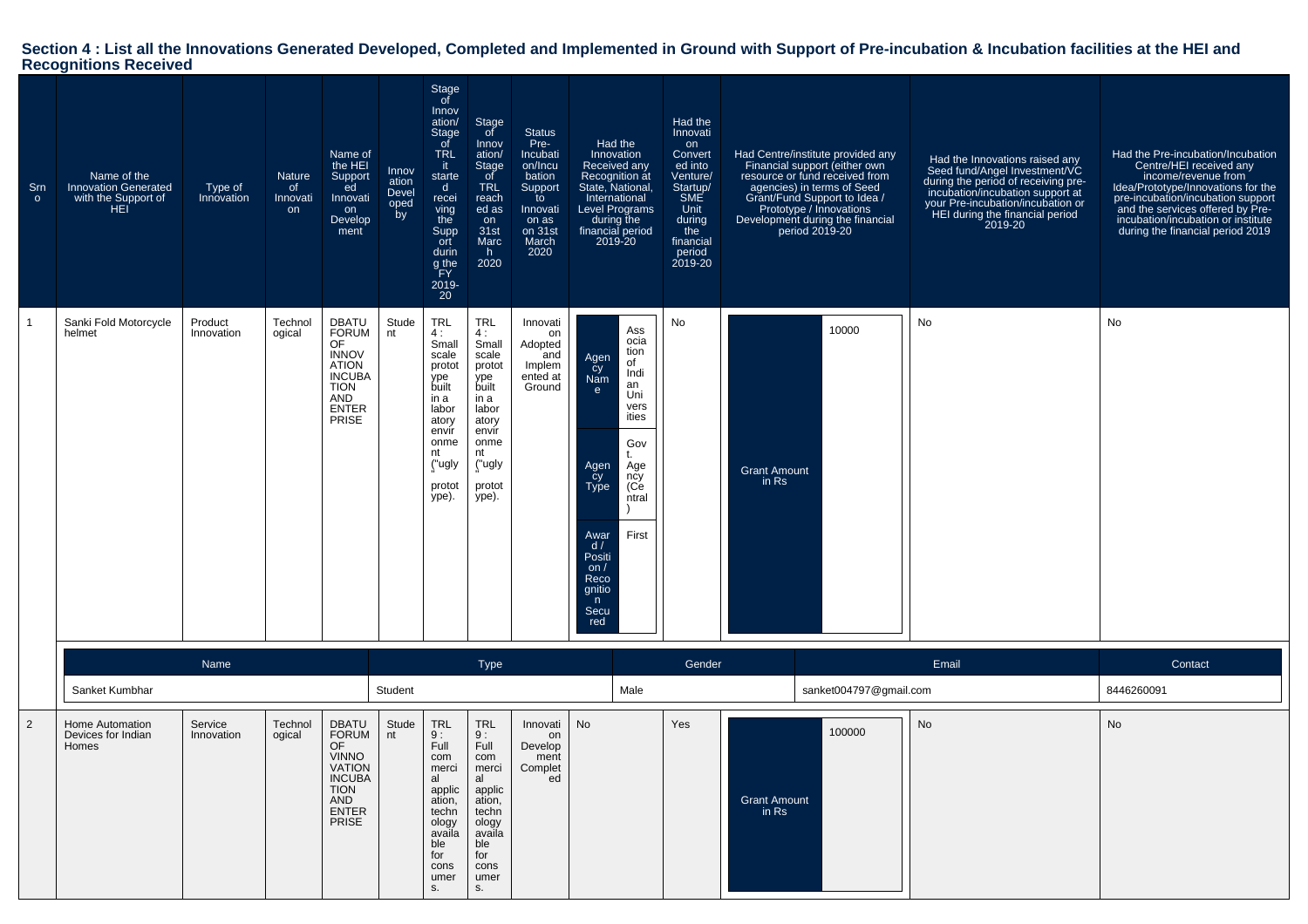# **Section 4 : List all the Innovations Generated Developed, Completed and Implemented in Ground with Support of Pre-incubation & Incubation facilities at the HEI and Recognitions Received**

| Srn<br>$\circ$ | Name of the<br><b>Innovation Generated</b><br>with the Support of<br>HEI | Type of<br>Innovation | <b>Nature</b><br>of<br>Innovati<br>on | Name of<br>the HEI<br>Support<br>ed<br>Innovati<br>on<br>Develop<br>ment                                                                   | Innov<br>ation<br>Devel<br>oped<br>by | Stage<br>of<br>Innov<br>ation/<br>Stage<br>of<br><b>TRL</b><br>it.<br>starte<br>d<br>recei<br>ving<br>the<br>Supp<br>ort<br>durin<br>g the<br>FY<br>2019-<br>20 | Stage<br>of<br>Innov<br>ation/<br>Stage<br>of<br><b>TRL</b><br>reach<br>ed as<br>on<br>31st<br>Marc<br>h,<br>2020                          | <b>Status</b><br>Pre-<br>Incubati<br>on/Incu<br>bation<br>Support<br>to<br>Innovati<br>on as<br>on 31st<br>March<br>2020 | State, National,<br><b>Level Programs</b>                                                                            | Had the<br>Innovation<br>Received any<br>Recognition at<br>International<br>during the<br>financial period<br>2019-20 | Had the<br>Innovati<br>on<br>Convert<br>ed into<br>Venture/<br>Startup/<br>SME<br>Unit<br>during<br>the<br>financial<br>period<br>2019-20 | Had Centre/institute provided any<br>Financial support (either own<br>resource or fund received from<br>agencies) in terms of Seed<br>Grant/Fund Support to Idea /<br>Prototype / Innovations<br>Development during the financial<br>period 2019-20 |                        | Had the Innovations raised any<br>Seed fund/Angel Investment/VC<br>during the period of receiving pre-<br>incubation/incubation support at<br>your Pre-incubation/incubation or<br>HEI during the financial period<br>2019-20 | Had the Pre-incubation/Incubation<br>Centre/HEI received any<br>income/revenue from<br>Idea/Prototype/Innovations for the<br>pre-incubation/incubation support<br>and the services offered by Pre-<br>incubation/incubation or institute<br>during the financial period 2019 |
|----------------|--------------------------------------------------------------------------|-----------------------|---------------------------------------|--------------------------------------------------------------------------------------------------------------------------------------------|---------------------------------------|-----------------------------------------------------------------------------------------------------------------------------------------------------------------|--------------------------------------------------------------------------------------------------------------------------------------------|--------------------------------------------------------------------------------------------------------------------------|----------------------------------------------------------------------------------------------------------------------|-----------------------------------------------------------------------------------------------------------------------|-------------------------------------------------------------------------------------------------------------------------------------------|-----------------------------------------------------------------------------------------------------------------------------------------------------------------------------------------------------------------------------------------------------|------------------------|-------------------------------------------------------------------------------------------------------------------------------------------------------------------------------------------------------------------------------|------------------------------------------------------------------------------------------------------------------------------------------------------------------------------------------------------------------------------------------------------------------------------|
| $\mathbf 1$    | Sanki Fold Motorcycle<br>helmet                                          | Product<br>Innovation | Technol<br>ogical                     | <b>DBATU</b><br>FORUM<br>OF<br><b>INNOV</b><br><b>ATION</b><br><b>INCUBA</b><br><b>TION</b><br>AND<br><b>ENTER</b><br><b>PRISE</b>         | Stude<br>nt                           | <b>TRL</b><br>4 :<br>Small<br>scale<br>protot<br>ype<br>built<br>in a<br>labor<br>atory<br>envir<br>onme<br>nt<br>("ugly<br>protot<br>ype).                     | <b>TRL</b><br>4:<br>Small<br>scale<br>protot<br>ype<br>built<br>in a<br>labor<br>atory<br>envir<br>onme<br>nt<br>("ugly<br>protot<br>ype). | Innovati<br>on<br>Adopted<br>and<br>Implem<br>ented at<br>Ground                                                         | Agen<br>cy<br>Nam<br>e<br>Agen<br>cy<br>Type<br>Awar<br>d/<br>Positi<br>on $/$<br>Reco<br>gnitio<br>n<br>Secu<br>red | Ass<br>ocia<br>tion<br>of<br>Indi<br>an<br>Uni<br>vers<br>ities<br>Gov<br>t.<br>Age<br>ncy<br>(Ce<br>ntral<br>First   | No                                                                                                                                        | 10000<br><b>Grant Amount</b><br>in Rs                                                                                                                                                                                                               |                        | No                                                                                                                                                                                                                            | No                                                                                                                                                                                                                                                                           |
|                |                                                                          | Name                  |                                       |                                                                                                                                            |                                       |                                                                                                                                                                 | <b>Type</b>                                                                                                                                |                                                                                                                          |                                                                                                                      |                                                                                                                       | Gender                                                                                                                                    |                                                                                                                                                                                                                                                     |                        | Email                                                                                                                                                                                                                         | Contact                                                                                                                                                                                                                                                                      |
|                | Sanket Kumbhar                                                           |                       |                                       |                                                                                                                                            | Student                               |                                                                                                                                                                 |                                                                                                                                            |                                                                                                                          |                                                                                                                      | Male                                                                                                                  |                                                                                                                                           |                                                                                                                                                                                                                                                     | sanket004797@gmail.com |                                                                                                                                                                                                                               | 8446260091                                                                                                                                                                                                                                                                   |
| $\overline{2}$ | Home Automation<br>Devices for Indian<br>Homes                           | Service<br>Innovation | Technol<br>ogical                     | <b>DBATU</b><br><b>FORUM</b><br>OF<br><b>VINNO</b><br><b>VATION</b><br><b>INCUBA</b><br><b>TION</b><br>AND<br><b>ENTER</b><br><b>PRISE</b> | Stude<br>nt                           | <b>TRL</b><br>9:<br>Full<br>com<br>merci<br>al<br>applic<br>ation,<br>techn<br>ology<br>availa<br>ble<br>for<br>cons<br>umer<br>s.                              | <b>TRL</b><br>$\frac{9}{1}$ :<br>com<br>merci<br>al<br>applic<br>ation,<br>techn<br>ology<br>availa<br>ble<br>for<br>cons<br>umer<br>S.    | Innovati<br>on<br>Develop<br>ment<br>Complet<br>ed                                                                       | <b>No</b>                                                                                                            |                                                                                                                       | Yes                                                                                                                                       | 100000<br><b>Grant Amount</b><br>in $Rs$                                                                                                                                                                                                            |                        | <b>No</b>                                                                                                                                                                                                                     | No                                                                                                                                                                                                                                                                           |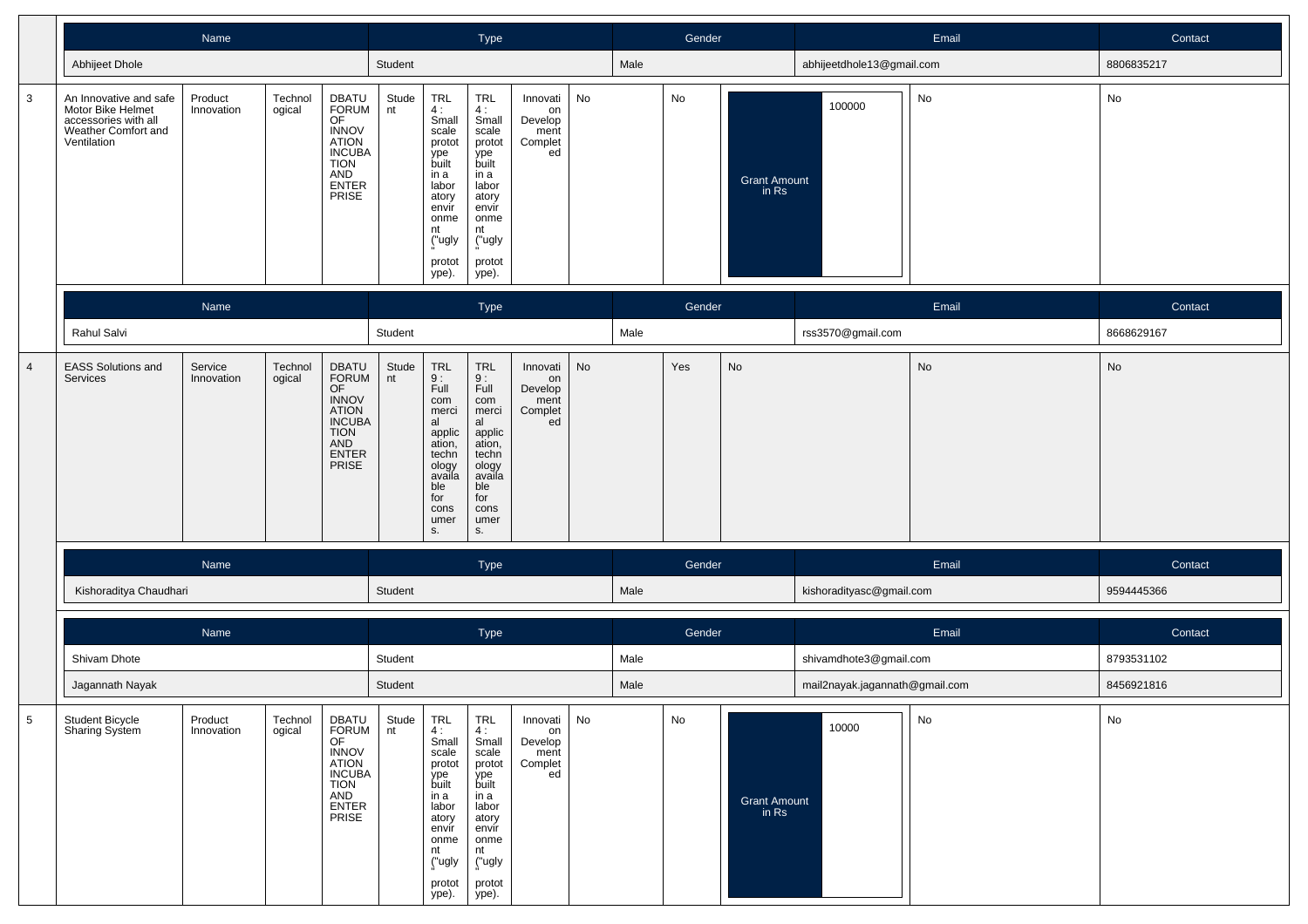|                |                                                                                                           | Name                  |                   |                                                                                                                      |             |                                                                                                                                            | Type                                                                                                                                 |                                                         |           |      | Gender                       |                                |                                | Email | Contact    |
|----------------|-----------------------------------------------------------------------------------------------------------|-----------------------|-------------------|----------------------------------------------------------------------------------------------------------------------|-------------|--------------------------------------------------------------------------------------------------------------------------------------------|--------------------------------------------------------------------------------------------------------------------------------------|---------------------------------------------------------|-----------|------|------------------------------|--------------------------------|--------------------------------|-------|------------|
|                | Abhijeet Dhole                                                                                            |                       |                   |                                                                                                                      | Student     |                                                                                                                                            |                                                                                                                                      |                                                         |           | Male |                              |                                | abhijeetdhole13@gmail.com      |       | 8806835217 |
| $\overline{3}$ | An Innovative and safe<br>Motor Bike Helmet<br>accessories with all<br>Weather Comfort and<br>Ventilation | Product<br>Innovation | Technol<br>ogical | DBATU<br>FORUM<br>OF<br><b>INNOV</b><br><b>ATION</b><br><b>INCUBA</b><br><b>TION</b><br><b>AND</b><br>ENTER<br>PRISE | Stude<br>nt | TRL<br>4 :<br>Small<br>scale<br>protot<br>ype<br>built<br>in a<br>labor<br>atory<br>envir<br>onme<br>nt<br>("ugly<br>protot<br>ype).       | TRL<br>4:<br>Small<br>scale<br>protot<br>ype<br>built<br>in a<br>labor<br>atory<br>envir<br>onme<br>nt<br>("ugly<br>protot<br>ype).  | Innovati<br>on<br>Develop<br>ment<br>Complet<br>ed      | No        |      | $\operatorname{\mathsf{No}}$ | <b>Grant Amount</b><br>in $Rs$ | 100000                         | No    | ${\sf No}$ |
|                |                                                                                                           | Name                  |                   |                                                                                                                      |             |                                                                                                                                            | Type                                                                                                                                 |                                                         |           |      | Gender                       |                                |                                | Email | Contact    |
|                | Rahul Salvi                                                                                               |                       |                   |                                                                                                                      | Student     |                                                                                                                                            |                                                                                                                                      |                                                         |           | Male |                              |                                | rss3570@gmail.com              |       | 8668629167 |
| $\overline{4}$ | <b>EASS Solutions and</b><br><b>Services</b>                                                              | Service<br>Innovation | Technol<br>ogical | DBATU<br><b>FORUM</b><br>OF<br><b>INNOV</b><br>ATION<br>INCUBA<br><b>TION</b><br>AND<br><b>ENTER</b><br><b>PRISE</b> | Stude<br>nt | <b>TRL</b><br>$\frac{9}{1}$ :<br>com<br>merci<br>al<br>applic<br>ation,<br>techn<br>ology<br>availa<br>ble<br>for<br>cons<br>umer<br>s.    | TRL<br>$\frac{9}{1}$ :<br>com<br>merci<br>al<br>applic<br>ation,<br>techn<br>ology<br>availa<br>ble<br>for<br>cons<br>umer<br>s.     | Innovati<br>on<br>Develop<br>ment<br>Complet<br>ed      | <b>No</b> |      | Yes                          | No                             |                                | No    | No         |
|                |                                                                                                           | Name                  |                   |                                                                                                                      |             |                                                                                                                                            | Type                                                                                                                                 |                                                         |           |      | Gender                       |                                |                                | Email | Contact    |
|                | Kishoraditya Chaudhari                                                                                    |                       |                   |                                                                                                                      | Student     |                                                                                                                                            |                                                                                                                                      |                                                         |           | Male |                              |                                | kishoradityasc@gmail.com       |       | 9594445366 |
|                |                                                                                                           | Name                  |                   |                                                                                                                      |             |                                                                                                                                            | Type                                                                                                                                 |                                                         |           |      | Gender                       |                                |                                | Email | Contact    |
|                | Shivam Dhote                                                                                              |                       |                   |                                                                                                                      | Student     |                                                                                                                                            |                                                                                                                                      |                                                         |           | Male |                              |                                | shivamdhote3@gmail.com         |       | 8793531102 |
|                | Jagannath Nayak                                                                                           |                       |                   |                                                                                                                      | Student     |                                                                                                                                            |                                                                                                                                      |                                                         |           | Male |                              |                                | mail2nayak.jagannath@gmail.com |       | 8456921816 |
| 5              | Student Bicycle<br>Sharing System                                                                         | Product<br>Innovation | Technol<br>ogical | DBATU<br>FORUM<br>OF<br><b>INNOV</b><br><b>ATION</b><br><b>INCUBA</b><br><b>TION</b><br>AND<br><b>ENTER</b><br>PRISE | Stude<br>nt | <b>TRL</b><br>4:<br>Small<br>scale<br>protot<br>ype<br>built<br>in a<br>labor<br>atory<br>envir<br>onme<br>nt<br>("ugly<br>protot<br>ype). | TRL<br>4 :<br>Small<br>scale<br>protot<br>ype<br>built<br>in a<br>labor<br>atory<br>envir<br>onme<br>nt<br>("ugly<br>protot<br>ype). | Innovati   No<br>on<br>Develop<br>ment<br>Complet<br>ed |           |      | No                           | <b>Grant Amount</b><br>in Rs   | 10000                          | No    | No         |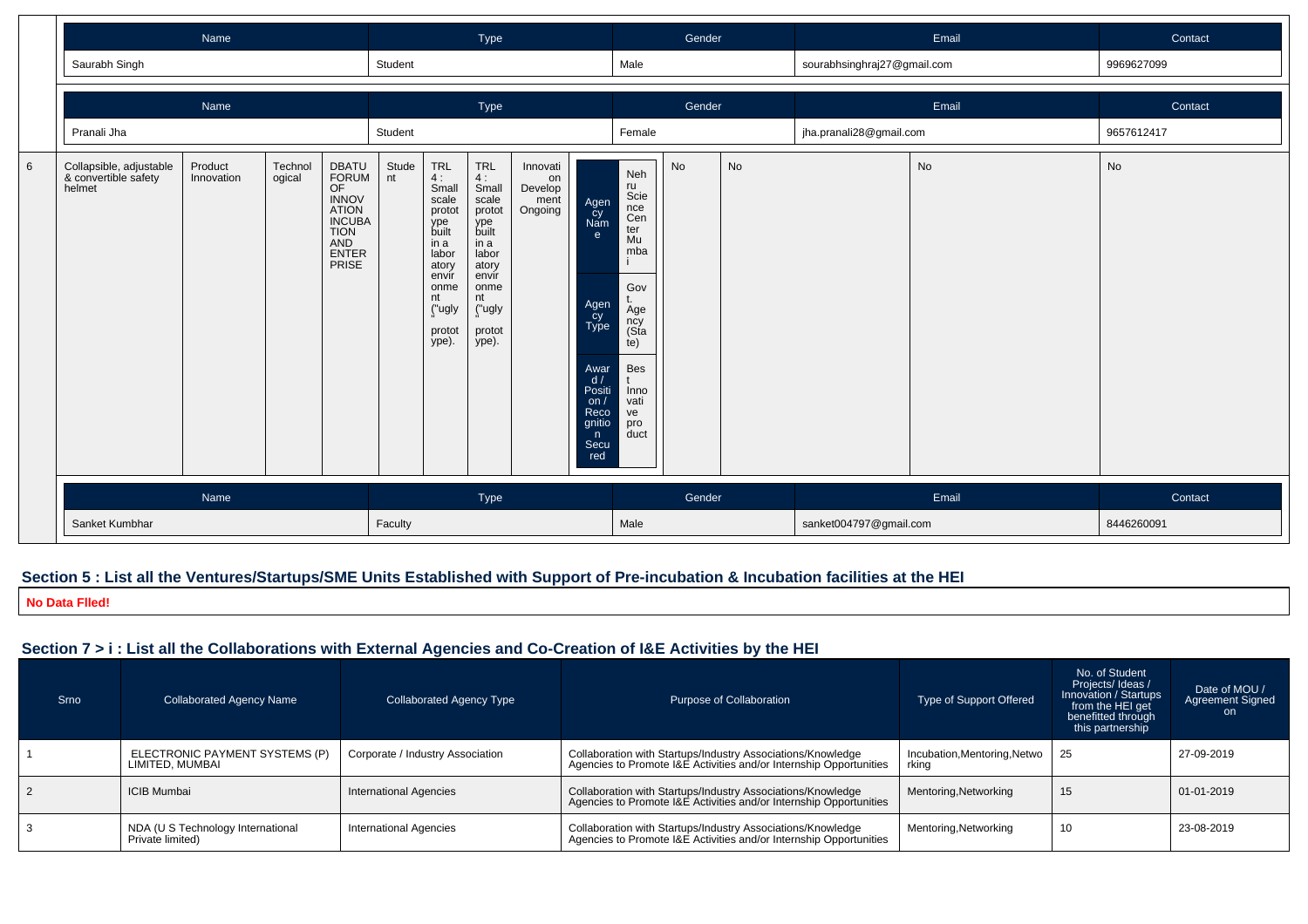|   |                                                           | Name                  |                   |                                                                                                               |             |                                                                                                                                     | Type                                                                                                                                       |                                              |                                                                                                                                          |                                                                                                                                           | Gender |    |                             | Email | Contact    |
|---|-----------------------------------------------------------|-----------------------|-------------------|---------------------------------------------------------------------------------------------------------------|-------------|-------------------------------------------------------------------------------------------------------------------------------------|--------------------------------------------------------------------------------------------------------------------------------------------|----------------------------------------------|------------------------------------------------------------------------------------------------------------------------------------------|-------------------------------------------------------------------------------------------------------------------------------------------|--------|----|-----------------------------|-------|------------|
|   | Saurabh Singh                                             |                       |                   |                                                                                                               | Student     |                                                                                                                                     |                                                                                                                                            |                                              |                                                                                                                                          | Male                                                                                                                                      |        |    | sourabhsinghraj27@gmail.com |       | 9969627099 |
|   |                                                           | Name                  |                   |                                                                                                               |             |                                                                                                                                     | Type                                                                                                                                       |                                              |                                                                                                                                          |                                                                                                                                           | Gender |    |                             | Email | Contact    |
|   | Pranali Jha                                               |                       |                   |                                                                                                               | Student     |                                                                                                                                     |                                                                                                                                            |                                              |                                                                                                                                          | Female                                                                                                                                    |        |    | jha.pranali28@gmail.com     |       | 9657612417 |
| 6 | Collapsible, adjustable<br>& convertible safety<br>helmet | Product<br>Innovation | Technol<br>ogical | DBATU<br>FORUM<br>OF<br><b>INNOV</b><br><b>ATION</b><br><b>INCUBA</b><br><b>TION</b><br>AND<br>ENTER<br>PRISE | Stude<br>nt | TRL<br>4:<br>Small<br>scale<br>protot<br>ype<br>built<br>in a<br>labor<br>atory<br>envir<br>onme<br>nt<br>("ugly<br>protot<br>ype). | <b>TRL</b><br>4:<br>Small<br>scale<br>protot<br>ype<br>built<br>in a<br>labor<br>atory<br>envir<br>onme<br>nt<br>("ugly<br>protot<br>ype). | Innovati<br>on<br>Develop<br>ment<br>Ongoing | Agen<br>cy<br>Nam<br>e<br>Agen<br>Cy<br>Type<br>Awar<br>d/<br>Positi<br>on <sub>l</sub><br>Reco<br>gnitio<br>$\mathsf{n}$<br>Secu<br>red | Neh<br>ru<br>Scie<br>nce<br>Cen<br>ter<br>Mu<br>mba<br>Gov<br>t.<br>Age<br>ncy<br>(Sta<br>te)<br>Bes<br>Inno<br>vati<br>ve<br>pro<br>duct | No     | No |                             | No    | No         |
|   | Name                                                      |                       |                   |                                                                                                               |             |                                                                                                                                     | Type                                                                                                                                       |                                              |                                                                                                                                          | Gender                                                                                                                                    |        |    | Email                       |       | Contact    |
|   | Sanket Kumbhar                                            |                       |                   |                                                                                                               |             |                                                                                                                                     |                                                                                                                                            |                                              |                                                                                                                                          | Male                                                                                                                                      |        |    | sanket004797@gmail.com      |       | 8446260091 |

## **Section 5 : List all the Ventures/Startups/SME Units Established with Support of Pre-incubation & Incubation facilities at the HEI**

**No Data Flled!**

# **Section 7 > i : List all the Collaborations with External Agencies and Co-Creation of I&E Activities by the HEI**

| Srno | <b>Collaborated Agency Name</b>                       | Collaborated Agency Type         | Purpose of Collaboration                                                                                                          | <b>Type of Support Offered</b>        | No. of Student<br>Projects/ Ideas /<br>Innovation / Startups<br>from the HEI get<br>benefitted through<br>this partnership | Date of MOU /<br><b>Agreement Signed</b><br>on. |
|------|-------------------------------------------------------|----------------------------------|-----------------------------------------------------------------------------------------------------------------------------------|---------------------------------------|----------------------------------------------------------------------------------------------------------------------------|-------------------------------------------------|
|      | ELECTRONIC PAYMENT SYSTEMS (P)<br>LIMITED, MUMBAI     | Corporate / Industry Association | Collaboration with Startups/Industry Associations/Knowledge<br>Agencies to Promote I&E Activities and/or Internship Opportunities | Incubation, Mentoring, Netwo<br>rking | 25                                                                                                                         | 27-09-2019                                      |
|      | ICIB Mumbai                                           | <b>International Agencies</b>    | Collaboration with Startups/Industry Associations/Knowledge<br>Agencies to Promote I&E Activities and/or Internship Opportunities | Mentoring, Networking                 | 15                                                                                                                         | 01-01-2019                                      |
|      | NDA (U S Technology International<br>Private limited) | <b>International Agencies</b>    | Collaboration with Startups/Industry Associations/Knowledge<br>Agencies to Promote I&E Activities and/or Internship Opportunities | Mentoring, Networking                 | 10                                                                                                                         | 23-08-2019                                      |